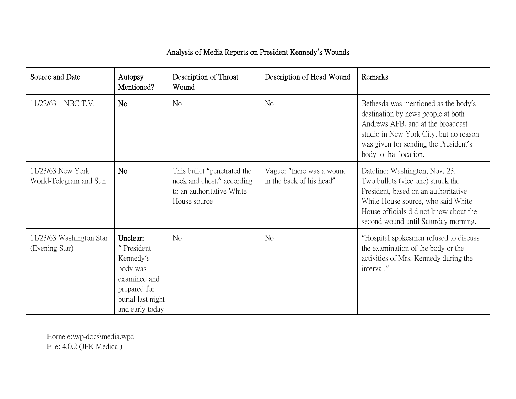## Analysis of Media Reports on President Kennedy**'**s Wounds

| Source and Date                             | Autopsy<br>Mentioned?                                                                                                   | Description of Throat<br>Wound                                                                         | Description of Head Wound                             | Remarks                                                                                                                                                                                                                             |
|---------------------------------------------|-------------------------------------------------------------------------------------------------------------------------|--------------------------------------------------------------------------------------------------------|-------------------------------------------------------|-------------------------------------------------------------------------------------------------------------------------------------------------------------------------------------------------------------------------------------|
| NBC T.V.<br>11/22/63                        | N <sub>o</sub>                                                                                                          | N <sub>o</sub>                                                                                         | No                                                    | Bethesda was mentioned as the body's<br>destination by news people at both<br>Andrews AFB, and at the broadcast<br>studio in New York City, but no reason<br>was given for sending the President's<br>body to that location.        |
| 11/23/63 New York<br>World-Telegram and Sun | N <sub>o</sub>                                                                                                          | This bullet "penetrated the<br>neck and chest," according<br>to an authoritative White<br>House source | Vague: "there was a wound<br>in the back of his head" | Dateline: Washington, Nov. 23.<br>Two bullets (vice one) struck the<br>President, based on an authoritative<br>White House source, who said White<br>House officials did not know about the<br>second wound until Saturday morning. |
| 11/23/63 Washington Star<br>(Evening Star)  | Unclear:<br>"President<br>Kennedy's<br>body was<br>examined and<br>prepared for<br>burial last night<br>and early today | No                                                                                                     | N <sub>o</sub>                                        | "Hospital spokesmen refused to discuss"<br>the examination of the body or the<br>activities of Mrs. Kennedy during the<br>interval."                                                                                                |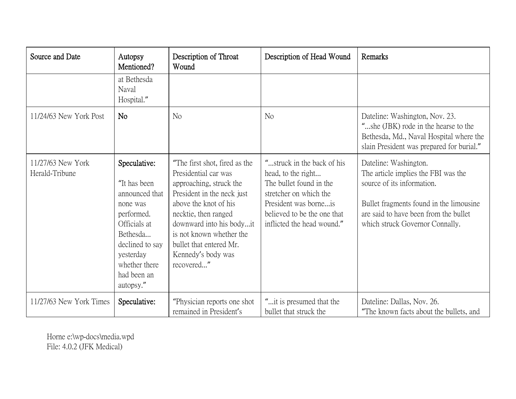| Source and Date                     | Autopsy<br>Mentioned?                                                                                                                                                             | Description of Throat<br>Wound                                                                                                                                                                                                                                                         | Description of Head Wound                                                                                                                                                                   | Remarks                                                                                                                                                                                                           |
|-------------------------------------|-----------------------------------------------------------------------------------------------------------------------------------------------------------------------------------|----------------------------------------------------------------------------------------------------------------------------------------------------------------------------------------------------------------------------------------------------------------------------------------|---------------------------------------------------------------------------------------------------------------------------------------------------------------------------------------------|-------------------------------------------------------------------------------------------------------------------------------------------------------------------------------------------------------------------|
|                                     | at Bethesda<br>Naval<br>Hospital."                                                                                                                                                |                                                                                                                                                                                                                                                                                        |                                                                                                                                                                                             |                                                                                                                                                                                                                   |
| 11/24/63 New York Post              | N <sub>o</sub>                                                                                                                                                                    | N <sub>o</sub>                                                                                                                                                                                                                                                                         | N <sub>o</sub>                                                                                                                                                                              | Dateline: Washington, Nov. 23.<br>"she (JBK) rode in the hearse to the<br>Bethesda, Md., Naval Hospital where the<br>slain President was prepared for burial."                                                    |
| 11/27/63 New York<br>Herald-Tribune | Speculative:<br>"It has been<br>announced that<br>none was<br>performed.<br>Officials at<br>Bethesda<br>declined to say<br>yesterday<br>whether there<br>had been an<br>autopsy." | "The first shot, fired as the<br>Presidential car was<br>approaching, struck the<br>President in the neck just<br>above the knot of his<br>necktie, then ranged<br>downward into his bodyit<br>is not known whether the<br>bullet that entered Mr.<br>Kennedy's body was<br>recovered" | "struck in the back of his<br>head, to the right<br>The bullet found in the<br>stretcher on which the<br>President was borneis<br>believed to be the one that<br>inflicted the head wound." | Dateline: Washington.<br>The article implies the FBI was the<br>source of its information.<br>Bullet fragments found in the limousine<br>are said to have been from the bullet<br>which struck Governor Connally. |
| 11/27/63 New York Times             | Speculative:                                                                                                                                                                      | "Physician reports one shot<br>remained in President's                                                                                                                                                                                                                                 | "it is presumed that the<br>bullet that struck the                                                                                                                                          | Dateline: Dallas, Nov. 26.<br>"The known facts about the bullets, and                                                                                                                                             |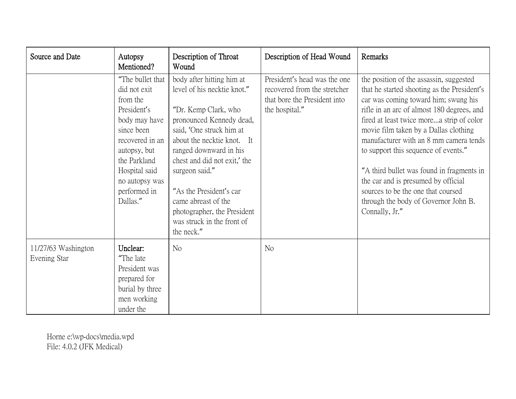| Source and Date                     | Autopsy<br>Mentioned?                                                                                                                                                                                        | Description of Throat<br>Wound                                                                                                                                                                                                                                                                                                                                                  | Description of Head Wound                                                                                      | Remarks                                                                                                                                                                                                                                                                                                                                                                                                                                                                                                                                  |
|-------------------------------------|--------------------------------------------------------------------------------------------------------------------------------------------------------------------------------------------------------------|---------------------------------------------------------------------------------------------------------------------------------------------------------------------------------------------------------------------------------------------------------------------------------------------------------------------------------------------------------------------------------|----------------------------------------------------------------------------------------------------------------|------------------------------------------------------------------------------------------------------------------------------------------------------------------------------------------------------------------------------------------------------------------------------------------------------------------------------------------------------------------------------------------------------------------------------------------------------------------------------------------------------------------------------------------|
|                                     | "The bullet that<br>did not exit<br>from the<br>President's<br>body may have<br>since been<br>recovered in an<br>autopsy, but<br>the Parkland<br>Hospital said<br>no autopsy was<br>performed in<br>Dallas." | body after hitting him at<br>level of his necktie knot."<br>"Dr. Kemp Clark, who<br>pronounced Kennedy dead,<br>said, 'One struck him at<br>about the necktie knot. It<br>ranged downward in his<br>chest and did not exit,' the<br>surgeon said."<br>"As the President's car<br>came abreast of the<br>photographer, the President<br>was struck in the front of<br>the neck." | President's head was the one<br>recovered from the stretcher<br>that bore the President into<br>the hospital." | the position of the assassin, suggested<br>that he started shooting as the President's<br>car was coming toward him; swung his<br>rifle in an arc of almost 180 degrees, and<br>fired at least twice morea strip of color<br>movie film taken by a Dallas clothing<br>manufacturer with an 8 mm camera tends<br>to support this sequence of events."<br>"A third bullet was found in fragments in<br>the car and is presumed by official<br>sources to be the one that coursed<br>through the body of Governor John B.<br>Connally, Jr." |
| 11/27/63 Washington<br>Evening Star | Unclear:<br>"The late"<br>President was<br>prepared for<br>burial by three<br>men working<br>under the                                                                                                       | N <sub>o</sub>                                                                                                                                                                                                                                                                                                                                                                  | N <sub>o</sub>                                                                                                 |                                                                                                                                                                                                                                                                                                                                                                                                                                                                                                                                          |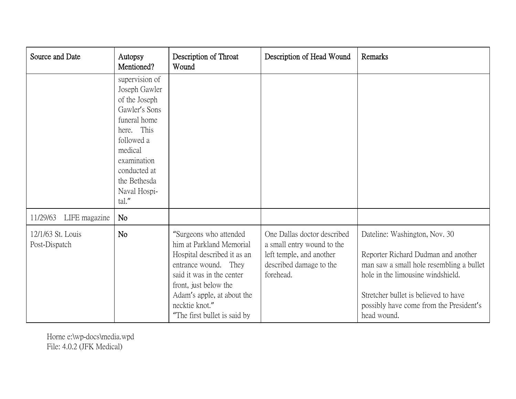| Source and Date                    | Autopsy<br>Mentioned?                                                                                                                                                                            | Description of Throat<br>Wound                                                                                                                                                                                                                  | Description of Head Wound                                                                                                     | Remarks                                                                                                                                                                                                                                                 |
|------------------------------------|--------------------------------------------------------------------------------------------------------------------------------------------------------------------------------------------------|-------------------------------------------------------------------------------------------------------------------------------------------------------------------------------------------------------------------------------------------------|-------------------------------------------------------------------------------------------------------------------------------|---------------------------------------------------------------------------------------------------------------------------------------------------------------------------------------------------------------------------------------------------------|
|                                    | supervision of<br>Joseph Gawler<br>of the Joseph<br>Gawler's Sons<br>funeral home<br>here. This<br>followed a<br>medical<br>examination<br>conducted at<br>the Bethesda<br>Naval Hospi-<br>tal." |                                                                                                                                                                                                                                                 |                                                                                                                               |                                                                                                                                                                                                                                                         |
| 11/29/63<br>LIFE magazine          | No                                                                                                                                                                                               |                                                                                                                                                                                                                                                 |                                                                                                                               |                                                                                                                                                                                                                                                         |
| 12/1/63 St. Louis<br>Post-Dispatch | N <sub>o</sub>                                                                                                                                                                                   | "Surgeons who attended<br>him at Parkland Memorial<br>Hospital described it as an<br>entrance wound. They<br>said it was in the center<br>front, just below the<br>Adam's apple, at about the<br>necktie knot."<br>"The first bullet is said by | One Dallas doctor described<br>a small entry wound to the<br>left temple, and another<br>described damage to the<br>forehead. | Dateline: Washington, Nov. 30<br>Reporter Richard Dudman and another<br>man saw a small hole resembling a bullet<br>hole in the limousine windshield.<br>Stretcher bullet is believed to have<br>possibly have come from the President's<br>head wound. |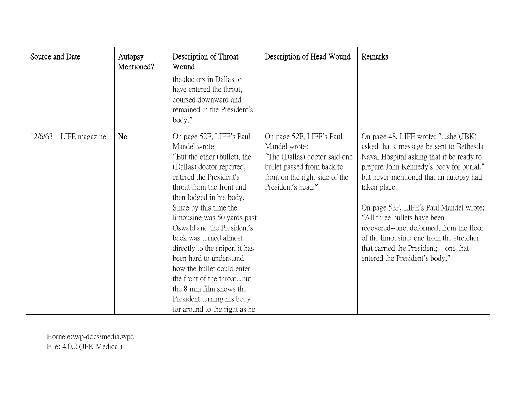| Source and Date          | Autopsy<br>Mentioned? | Description of Throat<br>Wound                                                                                                                                                                                                                                                                                                                                                                                                                                                                                                 | Description of Head Wound                                                                                                                                        | Remarks                                                                                                                                                                                                                                                                                                                                                                                                                                                                        |
|--------------------------|-----------------------|--------------------------------------------------------------------------------------------------------------------------------------------------------------------------------------------------------------------------------------------------------------------------------------------------------------------------------------------------------------------------------------------------------------------------------------------------------------------------------------------------------------------------------|------------------------------------------------------------------------------------------------------------------------------------------------------------------|--------------------------------------------------------------------------------------------------------------------------------------------------------------------------------------------------------------------------------------------------------------------------------------------------------------------------------------------------------------------------------------------------------------------------------------------------------------------------------|
|                          |                       | the doctors in Dallas to<br>have entered the throat,<br>coursed downward and<br>remained in the President's<br>body."                                                                                                                                                                                                                                                                                                                                                                                                          |                                                                                                                                                                  |                                                                                                                                                                                                                                                                                                                                                                                                                                                                                |
| 12/6/63<br>LIFE magazine | <b>No</b>             | On page 52F, LIFE's Paul<br>Mandel wrote:<br>"But the other (bullet), the<br>(Dallas) doctor reported,<br>entered the President's<br>throat from the front and<br>then lodged in his body.<br>Since by this time the<br>limousine was 50 yards past<br>Oswald and the President's<br>back was turned almost<br>directly to the sniper, it has<br>been hard to understand<br>how the bullet could enter<br>the front of the throatbut<br>the 8 mm film shows the<br>President turning his body<br>far around to the right as he | On page 52F, LIFE's Paul<br>Mandel wrote:<br>"The (Dallas) doctor said one<br>bullet passed from back to<br>front on the right side of the<br>President's head." | On page 48, LIFE wrote: "she (JBK)<br>asked that a message be sent to Bethesda<br>Naval Hospital asking that it be ready to<br>prepare John Kennedy's body for burial,"<br>but never mentioned that an autopsy had<br>taken place.<br>On page 52F, LIFE's Paul Mandel wrote:<br>"All three bullets have been<br>recovered--one, deformed, from the floor<br>of the limousine; one from the stretcher<br>that carried the President; one that<br>entered the President's body." |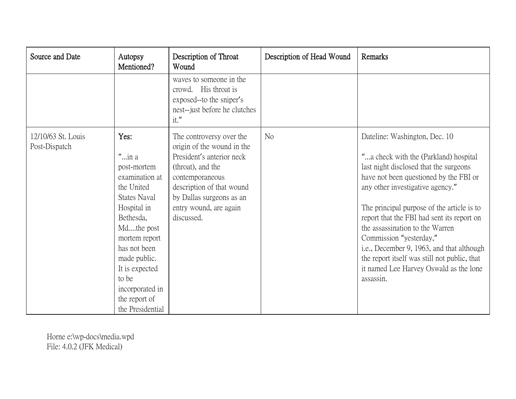| Source and Date                     | Autopsy<br>Mentioned?                                                                                                                                                                                                                                                | Description of Throat<br>Wound                                                                                                                                                                                               | Description of Head Wound | Remarks                                                                                                                                                                                                                                                                                                                                                                                                                                                                                                      |
|-------------------------------------|----------------------------------------------------------------------------------------------------------------------------------------------------------------------------------------------------------------------------------------------------------------------|------------------------------------------------------------------------------------------------------------------------------------------------------------------------------------------------------------------------------|---------------------------|--------------------------------------------------------------------------------------------------------------------------------------------------------------------------------------------------------------------------------------------------------------------------------------------------------------------------------------------------------------------------------------------------------------------------------------------------------------------------------------------------------------|
|                                     |                                                                                                                                                                                                                                                                      | waves to someone in the<br>crowd. His throat is<br>exposed--to the sniper's<br>nest--just before he clutches<br>it."                                                                                                         |                           |                                                                                                                                                                                                                                                                                                                                                                                                                                                                                                              |
| 12/10/63 St. Louis<br>Post-Dispatch | Yes:<br>$"$ in a<br>post-mortem<br>examination at<br>the United<br><b>States Naval</b><br>Hospital in<br>Bethesda,<br>Mdthe post<br>mortem report<br>has not been<br>made public.<br>It is expected<br>to be<br>incorporated in<br>the report of<br>the Presidential | The controversy over the<br>origin of the wound in the<br>President's anterior neck<br>(throat), and the<br>contemporaneous<br>description of that wound<br>by Dallas surgeons as an<br>entry wound, are again<br>discussed. | No                        | Dateline: Washington, Dec. 10<br>"a check with the (Parkland) hospital<br>last night disclosed that the surgeons<br>have not been questioned by the FBI or<br>any other investigative agency."<br>The principal purpose of the article is to<br>report that the FBI had sent its report on<br>the assassination to the Warren<br>Commission "yesterday,"<br>i.e., December 9, 1963, and that although<br>the report itself was still not public, that<br>it named Lee Harvey Oswald as the lone<br>assassin. |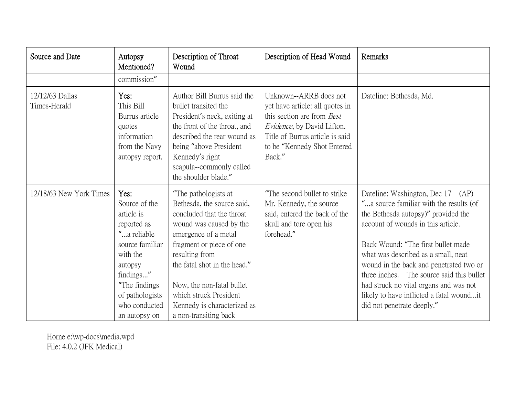| Source and Date                 | Autopsy<br>Mentioned?                                                                                                                                                                          | Description of Throat<br>Wound                                                                                                                                                                                                                                                                                                  | Description of Head Wound                                                                                                                                                                                 | <b>Remarks</b>                                                                                                                                                                                                                                                                                                                                                                                                                                     |
|---------------------------------|------------------------------------------------------------------------------------------------------------------------------------------------------------------------------------------------|---------------------------------------------------------------------------------------------------------------------------------------------------------------------------------------------------------------------------------------------------------------------------------------------------------------------------------|-----------------------------------------------------------------------------------------------------------------------------------------------------------------------------------------------------------|----------------------------------------------------------------------------------------------------------------------------------------------------------------------------------------------------------------------------------------------------------------------------------------------------------------------------------------------------------------------------------------------------------------------------------------------------|
|                                 | commission"                                                                                                                                                                                    |                                                                                                                                                                                                                                                                                                                                 |                                                                                                                                                                                                           |                                                                                                                                                                                                                                                                                                                                                                                                                                                    |
| 12/12/63 Dallas<br>Times-Herald | Yes:<br>This Bill<br>Burrus article<br>quotes<br>information<br>from the Navy<br>autopsy report.                                                                                               | Author Bill Burrus said the<br>bullet transited the<br>President's neck, exiting at<br>the front of the throat, and<br>described the rear wound as<br>being "above President"<br>Kennedy's right<br>scapula--commonly called<br>the shoulder blade."                                                                            | Unknown--ARRB does not<br>yet have article: all quotes in<br>this section are from <i>Best</i><br>Evidence, by David Lifton.<br>Title of Burrus article is said<br>to be "Kennedy Shot Entered"<br>Back." | Dateline: Bethesda, Md.                                                                                                                                                                                                                                                                                                                                                                                                                            |
| 12/18/63 New York Times         | Yes:<br>Source of the<br>article is<br>reported as<br>"a reliable<br>source familiar<br>with the<br>autopsy<br>findings"<br>"The findings<br>of pathologists<br>who conducted<br>an autopsy on | "The pathologists at<br>Bethesda, the source said,<br>concluded that the throat<br>wound was caused by the<br>emergence of a metal<br>fragment or piece of one<br>resulting from<br>the fatal shot in the head."<br>Now, the non-fatal bullet<br>which struck President<br>Kennedy is characterized as<br>a non-transiting back | "The second bullet to strike"<br>Mr. Kennedy, the source<br>said, entered the back of the<br>skull and tore open his<br>forehead."                                                                        | Dateline: Washington, Dec 17 (AP)<br>"a source familiar with the results (of<br>the Bethesda autopsy)" provided the<br>account of wounds in this article.<br>Back Wound: "The first bullet made<br>what was described as a small, neat<br>wound in the back and penetrated two or<br>three inches. The source said this bullet<br>had struck no vital organs and was not<br>likely to have inflicted a fatal woundit<br>did not penetrate deeply." |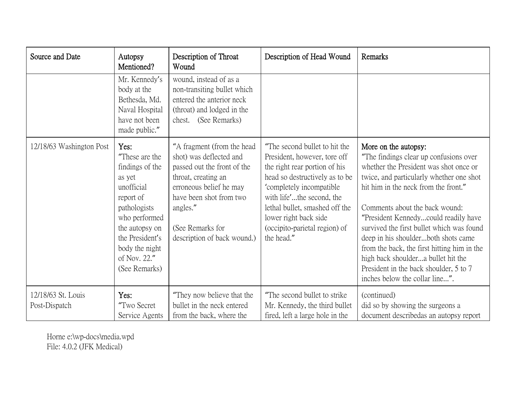| Source and Date                     | Autopsy<br>Mentioned?                                                                                                                                                                                   | Description of Throat<br>Wound                                                                                                                                                                                                   | Description of Head Wound                                                                                                                                                                                                                                                                           | Remarks                                                                                                                                                                                                                                                                                                                                                                                                                                                                                                                     |
|-------------------------------------|---------------------------------------------------------------------------------------------------------------------------------------------------------------------------------------------------------|----------------------------------------------------------------------------------------------------------------------------------------------------------------------------------------------------------------------------------|-----------------------------------------------------------------------------------------------------------------------------------------------------------------------------------------------------------------------------------------------------------------------------------------------------|-----------------------------------------------------------------------------------------------------------------------------------------------------------------------------------------------------------------------------------------------------------------------------------------------------------------------------------------------------------------------------------------------------------------------------------------------------------------------------------------------------------------------------|
|                                     | Mr. Kennedy's<br>body at the<br>Bethesda, Md.<br>Naval Hospital<br>have not been<br>made public."                                                                                                       | wound, instead of as a<br>non-transiting bullet which<br>entered the anterior neck<br>(throat) and lodged in the<br>chest. (See Remarks)                                                                                         |                                                                                                                                                                                                                                                                                                     |                                                                                                                                                                                                                                                                                                                                                                                                                                                                                                                             |
| 12/18/63 Washington Post            | Yes:<br>"These are the<br>findings of the<br>as yet<br>unofficial<br>report of<br>pathologists<br>who performed<br>the autopsy on<br>the President's<br>body the night<br>of Nov. 22."<br>(See Remarks) | "A fragment (from the head<br>shot) was deflected and<br>passed out the front of the<br>throat, creating an<br>erroneous belief he may<br>have been shot from two<br>angles."<br>(See Remarks for<br>description of back wound.) | "The second bullet to hit the<br>President, however, tore off<br>the right rear portion of his<br>head so destructively as to be<br>'completely incompatible<br>with life'the second, the<br>lethal bullet, smashed off the<br>lower right back side<br>(occipito-parietal region) of<br>the head." | More on the autopsy:<br>"The findings clear up confusions over<br>whether the President was shot once or<br>twice, and particularly whether one shot<br>hit him in the neck from the front."<br>Comments about the back wound:<br>"President Kennedycould readily have<br>survived the first bullet which was found<br>deep in his shoulderboth shots came<br>from the back, the first hitting him in the<br>high back shouldera bullet hit the<br>President in the back shoulder, 5 to 7<br>inches below the collar line". |
| 12/18/63 St. Louis<br>Post-Dispatch | Yes:<br>"Two Secret<br>Service Agents                                                                                                                                                                   | "They now believe that the<br>bullet in the neck entered<br>from the back, where the                                                                                                                                             | "The second bullet to strike"<br>Mr. Kennedy, the third bullet<br>fired, left a large hole in the                                                                                                                                                                                                   | (continued)<br>did so by showing the surgeons a<br>document describedas an autopsy report                                                                                                                                                                                                                                                                                                                                                                                                                                   |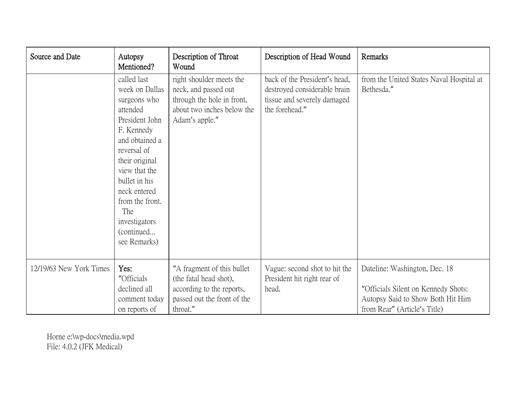| Source and Date         | Autopsy<br>Mentioned?                                                                                                                                                                                                                                                   | Description of Throat<br>Wound                                                                                                 | Description of Head Wound                                                                                      | Remarks                                                                                                                                   |
|-------------------------|-------------------------------------------------------------------------------------------------------------------------------------------------------------------------------------------------------------------------------------------------------------------------|--------------------------------------------------------------------------------------------------------------------------------|----------------------------------------------------------------------------------------------------------------|-------------------------------------------------------------------------------------------------------------------------------------------|
|                         | called last<br>week on Dallas<br>surgeons who<br>attended<br>President John<br>F. Kennedy<br>and obtained a<br>reversal of<br>their original<br>view that the<br>bullet in his<br>neck entered<br>from the front.<br>The<br>investigators<br>(continued<br>see Remarks) | right shoulder meets the<br>neck, and passed out<br>through the hole in front,<br>about two inches below the<br>Adam's apple." | back of the President's head,<br>destroyed considerable brain<br>tissue and severely damaged<br>the forehead." | from the United States Naval Hospital at<br>Bethesda."                                                                                    |
| 12/19/63 New York Times | Yes:<br>"Officials<br>declined all<br>comment today<br>on reports of                                                                                                                                                                                                    | "A fragment of this bullet"<br>(the fatal head shot),<br>according to the reports,<br>passed out the front of the<br>throat."  | Vague: second shot to hit the<br>President hit right rear of<br>head.                                          | Dateline: Washington, Dec. 18<br>"Officials Silent on Kennedy Shots:<br>Autopsy Said to Show Both Hit Him<br>from Rear" (Article's Title) |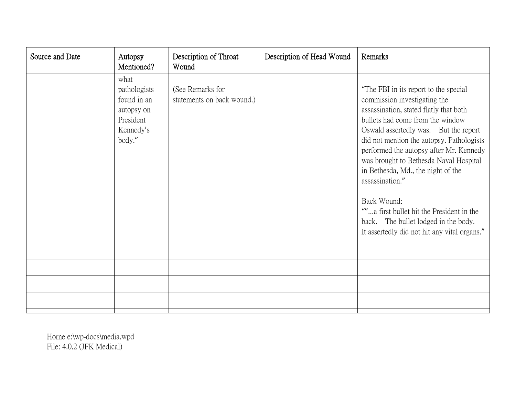| Source and Date | Autopsy<br>Mentioned?                                                                 | Description of Throat<br>Wound                 | Description of Head Wound | Remarks                                                                                                                                                                                                                                                                                                                                                                                                                                                                                                                                     |
|-----------------|---------------------------------------------------------------------------------------|------------------------------------------------|---------------------------|---------------------------------------------------------------------------------------------------------------------------------------------------------------------------------------------------------------------------------------------------------------------------------------------------------------------------------------------------------------------------------------------------------------------------------------------------------------------------------------------------------------------------------------------|
|                 | what<br>pathologists<br>found in an<br>autopsy on<br>President<br>Kennedy's<br>body." | (See Remarks for<br>statements on back wound.) |                           | "The FBI in its report to the special<br>commission investigating the<br>assassination, stated flatly that both<br>bullets had come from the window<br>Oswald assertedly was. But the report<br>did not mention the autopsy. Pathologists<br>performed the autopsy after Mr. Kennedy<br>was brought to Bethesda Naval Hospital<br>in Bethesda, Md., the night of the<br>assassination."<br>Back Wound:<br>""a first bullet hit the President in the<br>back. The bullet lodged in the body.<br>It assertedly did not hit any vital organs." |
|                 |                                                                                       |                                                |                           |                                                                                                                                                                                                                                                                                                                                                                                                                                                                                                                                             |
|                 |                                                                                       |                                                |                           |                                                                                                                                                                                                                                                                                                                                                                                                                                                                                                                                             |
|                 |                                                                                       |                                                |                           |                                                                                                                                                                                                                                                                                                                                                                                                                                                                                                                                             |